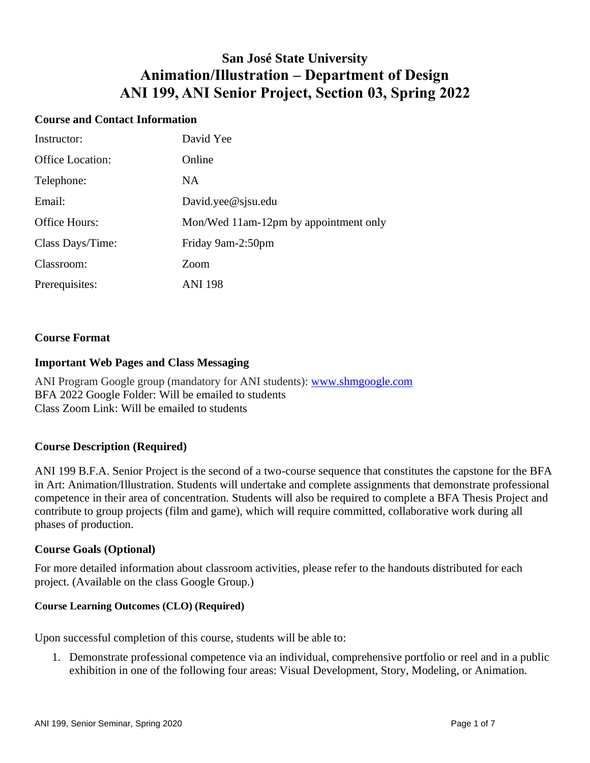## **San José State University Animation/Illustration – Department of Design ANI 199, ANI Senior Project, Section 03, Spring 2022**

#### **Course and Contact Information**

| Instructor:             | David Yee                             |
|-------------------------|---------------------------------------|
| <b>Office Location:</b> | Online                                |
| Telephone:              | NA.                                   |
| Email:                  | David.yee@sjsu.edu                    |
| Office Hours:           | Mon/Wed 11am-12pm by appointment only |
| Class Days/Time:        | Friday 9am-2:50pm                     |
| Classroom:              | Zoom                                  |
| Prerequisites:          | <b>ANI 198</b>                        |

#### **Course Format**

#### **Important Web Pages and Class Messaging**

ANI Program Google group (mandatory for ANI students): [www.shmgoogle.com](http://www.shmgoogle.com/) BFA 2022 Google Folder: Will be emailed to students Class Zoom Link: Will be emailed to students

#### **Course Description (Required)**

ANI 199 B.F.A. Senior Project is the second of a two-course sequence that constitutes the capstone for the BFA in Art: Animation/Illustration. Students will undertake and complete assignments that demonstrate professional competence in their area of concentration. Students will also be required to complete a BFA Thesis Project and contribute to group projects (film and game), which will require committed, collaborative work during all phases of production.

#### **Course Goals (Optional)**

For more detailed information about classroom activities, please refer to the handouts distributed for each project. (Available on the class Google Group.)

#### **Course Learning Outcomes (CLO) (Required)**

Upon successful completion of this course, students will be able to:

1. Demonstrate professional competence via an individual, comprehensive portfolio or reel and in a public exhibition in one of the following four areas: Visual Development, Story, Modeling, or Animation.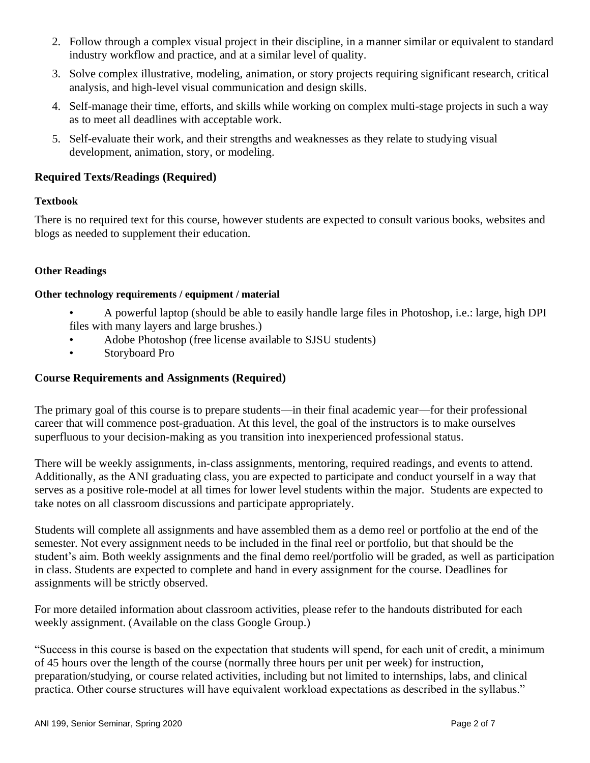- 2. Follow through a complex visual project in their discipline, in a manner similar or equivalent to standard industry workflow and practice, and at a similar level of quality.
- 3. Solve complex illustrative, modeling, animation, or story projects requiring significant research, critical analysis, and high-level visual communication and design skills.
- 4. Self-manage their time, efforts, and skills while working on complex multi-stage projects in such a way as to meet all deadlines with acceptable work.
- 5. Self-evaluate their work, and their strengths and weaknesses as they relate to studying visual development, animation, story, or modeling.

## **Required Texts/Readings (Required)**

#### **Textbook**

There is no required text for this course, however students are expected to consult various books, websites and blogs as needed to supplement their education.

#### **Other Readings**

#### **Other technology requirements / equipment / material**

- A powerful laptop (should be able to easily handle large files in Photoshop, i.e.: large, high DPI files with many layers and large brushes.)
- Adobe Photoshop (free license available to SJSU students)
- Storyboard Pro

## **Course Requirements and Assignments (Required)**

The primary goal of this course is to prepare students—in their final academic year—for their professional career that will commence post-graduation. At this level, the goal of the instructors is to make ourselves superfluous to your decision-making as you transition into inexperienced professional status.

There will be weekly assignments, in-class assignments, mentoring, required readings, and events to attend. Additionally, as the ANI graduating class, you are expected to participate and conduct yourself in a way that serves as a positive role-model at all times for lower level students within the major. Students are expected to take notes on all classroom discussions and participate appropriately.

Students will complete all assignments and have assembled them as a demo reel or portfolio at the end of the semester. Not every assignment needs to be included in the final reel or portfolio, but that should be the student's aim. Both weekly assignments and the final demo reel/portfolio will be graded, as well as participation in class. Students are expected to complete and hand in every assignment for the course. Deadlines for assignments will be strictly observed.

For more detailed information about classroom activities, please refer to the handouts distributed for each weekly assignment. (Available on the class Google Group.)

"Success in this course is based on the expectation that students will spend, for each unit of credit, a minimum of 45 hours over the length of the course (normally three hours per unit per week) for instruction, preparation/studying, or course related activities, including but not limited to internships, labs, and clinical practica. Other course structures will have equivalent workload expectations as described in the syllabus."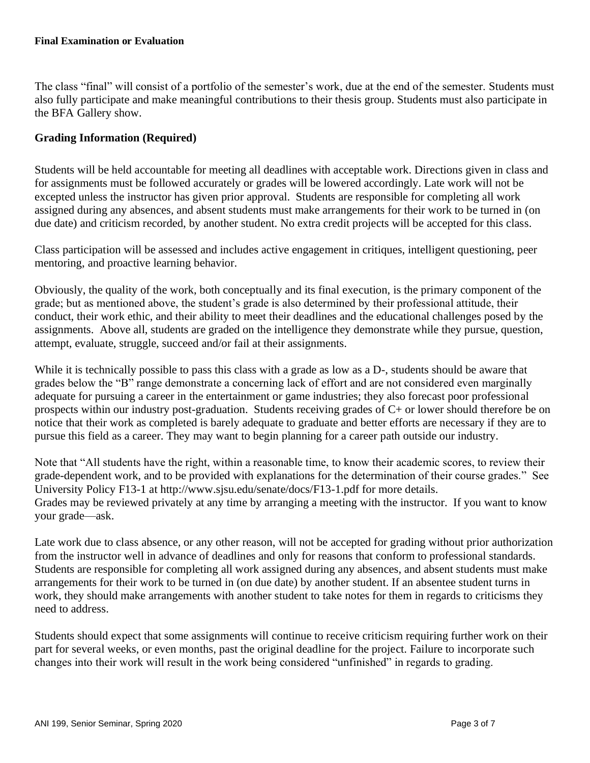The class "final" will consist of a portfolio of the semester's work, due at the end of the semester. Students must also fully participate and make meaningful contributions to their thesis group. Students must also participate in the BFA Gallery show.

## **Grading Information (Required)**

Students will be held accountable for meeting all deadlines with acceptable work. Directions given in class and for assignments must be followed accurately or grades will be lowered accordingly. Late work will not be excepted unless the instructor has given prior approval. Students are responsible for completing all work assigned during any absences, and absent students must make arrangements for their work to be turned in (on due date) and criticism recorded, by another student. No extra credit projects will be accepted for this class.

Class participation will be assessed and includes active engagement in critiques, intelligent questioning, peer mentoring, and proactive learning behavior.

Obviously, the quality of the work, both conceptually and its final execution, is the primary component of the grade; but as mentioned above, the student's grade is also determined by their professional attitude, their conduct, their work ethic, and their ability to meet their deadlines and the educational challenges posed by the assignments. Above all, students are graded on the intelligence they demonstrate while they pursue, question, attempt, evaluate, struggle, succeed and/or fail at their assignments.

While it is technically possible to pass this class with a grade as low as a D-, students should be aware that grades below the "B" range demonstrate a concerning lack of effort and are not considered even marginally adequate for pursuing a career in the entertainment or game industries; they also forecast poor professional prospects within our industry post-graduation. Students receiving grades of C+ or lower should therefore be on notice that their work as completed is barely adequate to graduate and better efforts are necessary if they are to pursue this field as a career. They may want to begin planning for a career path outside our industry.

Note that "All students have the right, within a reasonable time, to know their academic scores, to review their grade-dependent work, and to be provided with explanations for the determination of their course grades." See University Policy F13-1 at http://www.sjsu.edu/senate/docs/F13-1.pdf for more details. Grades may be reviewed privately at any time by arranging a meeting with the instructor. If you want to know your grade—ask.

Late work due to class absence, or any other reason, will not be accepted for grading without prior authorization from the instructor well in advance of deadlines and only for reasons that conform to professional standards. Students are responsible for completing all work assigned during any absences, and absent students must make arrangements for their work to be turned in (on due date) by another student. If an absentee student turns in work, they should make arrangements with another student to take notes for them in regards to criticisms they need to address.

Students should expect that some assignments will continue to receive criticism requiring further work on their part for several weeks, or even months, past the original deadline for the project. Failure to incorporate such changes into their work will result in the work being considered "unfinished" in regards to grading.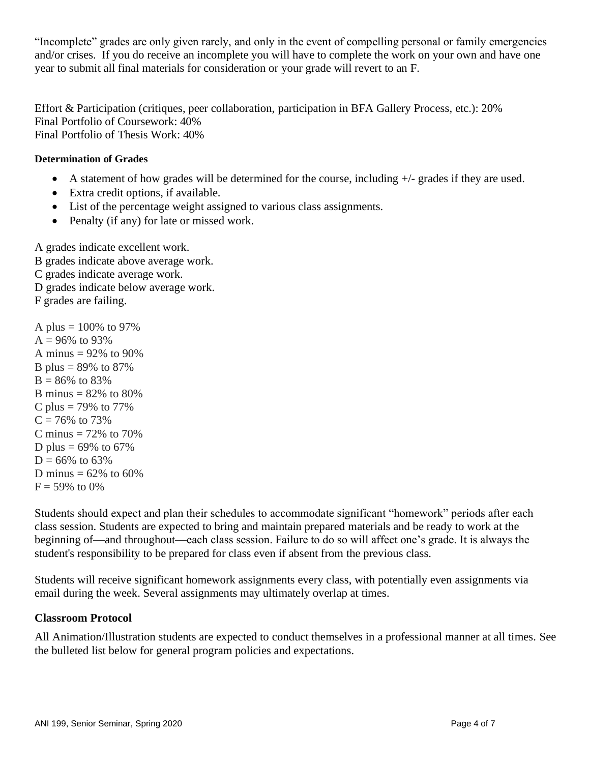"Incomplete" grades are only given rarely, and only in the event of compelling personal or family emergencies and/or crises. If you do receive an incomplete you will have to complete the work on your own and have one year to submit all final materials for consideration or your grade will revert to an F.

Effort & Participation (critiques, peer collaboration, participation in BFA Gallery Process, etc.): 20% Final Portfolio of Coursework: 40% Final Portfolio of Thesis Work: 40%

## **Determination of Grades**

- A statement of how grades will be determined for the course, including  $+/-$  grades if they are used.
- Extra credit options, if available.
- List of the percentage weight assigned to various class assignments.
- Penalty (if any) for late or missed work.

A grades indicate excellent work. B grades indicate above average work. C grades indicate average work. D grades indicate below average work. F grades are failing.

A plus =  $100\%$  to 97%  $A = 96\%$  to 93% A minus  $= 92\%$  to 90% B plus =  $89\%$  to  $87\%$  $B = 86\%$  to 83% B minus =  $82%$  to  $80%$ C plus = 79% to 77%  $C = 76\%$  to 73\% C minus =  $72\%$  to  $70\%$ D plus =  $69\%$  to  $67\%$  $D = 66\%$  to 63% D minus =  $62\%$  to  $60\%$  $F = 59\%$  to 0%

Students should expect and plan their schedules to accommodate significant "homework" periods after each class session. Students are expected to bring and maintain prepared materials and be ready to work at the beginning of—and throughout—each class session. Failure to do so will affect one's grade. It is always the student's responsibility to be prepared for class even if absent from the previous class.

Students will receive significant homework assignments every class, with potentially even assignments via email during the week. Several assignments may ultimately overlap at times.

#### **Classroom Protocol**

All Animation/Illustration students are expected to conduct themselves in a professional manner at all times. See the bulleted list below for general program policies and expectations.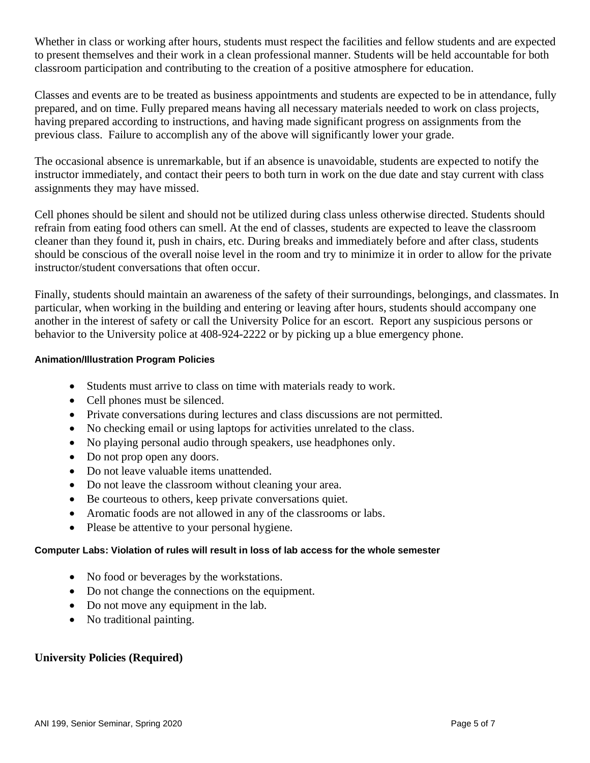Whether in class or working after hours, students must respect the facilities and fellow students and are expected to present themselves and their work in a clean professional manner. Students will be held accountable for both classroom participation and contributing to the creation of a positive atmosphere for education.

Classes and events are to be treated as business appointments and students are expected to be in attendance, fully prepared, and on time. Fully prepared means having all necessary materials needed to work on class projects, having prepared according to instructions, and having made significant progress on assignments from the previous class. Failure to accomplish any of the above will significantly lower your grade.

The occasional absence is unremarkable, but if an absence is unavoidable, students are expected to notify the instructor immediately, and contact their peers to both turn in work on the due date and stay current with class assignments they may have missed.

Cell phones should be silent and should not be utilized during class unless otherwise directed. Students should refrain from eating food others can smell. At the end of classes, students are expected to leave the classroom cleaner than they found it, push in chairs, etc. During breaks and immediately before and after class, students should be conscious of the overall noise level in the room and try to minimize it in order to allow for the private instructor/student conversations that often occur.

Finally, students should maintain an awareness of the safety of their surroundings, belongings, and classmates. In particular, when working in the building and entering or leaving after hours, students should accompany one another in the interest of safety or call the University Police for an escort. Report any suspicious persons or behavior to the University police at 408-924-2222 or by picking up a blue emergency phone.

#### **Animation/Illustration Program Policies**

- Students must arrive to class on time with materials ready to work.
- Cell phones must be silenced.
- Private conversations during lectures and class discussions are not permitted.
- No checking email or using laptops for activities unrelated to the class.
- No playing personal audio through speakers, use headphones only.
- Do not prop open any doors.
- Do not leave valuable items unattended.
- Do not leave the classroom without cleaning your area.
- Be courteous to others, keep private conversations quiet.
- Aromatic foods are not allowed in any of the classrooms or labs.
- Please be attentive to your personal hygiene.

#### **Computer Labs: Violation of rules will result in loss of lab access for the whole semester**

- No food or beverages by the workstations.
- Do not change the connections on the equipment.
- Do not move any equipment in the lab.
- No traditional painting.

#### **University Policies (Required)**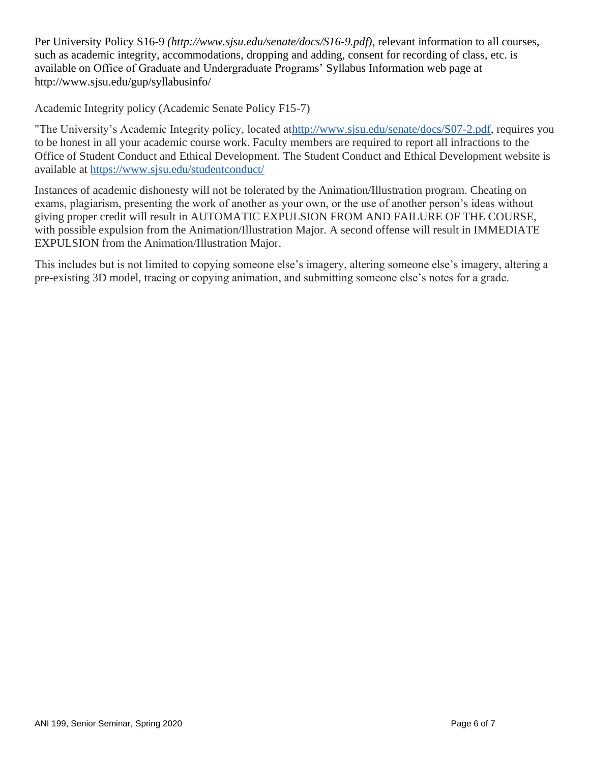Per University Policy S16-9 *(http://www.sjsu.edu/senate/docs/S16-9.pdf)*, relevant information to all courses, such as academic integrity, accommodations, dropping and adding, consent for recording of class, etc. is available on Office of Graduate and Undergraduate Programs' Syllabus Information web page at http://www.sjsu.edu/gup/syllabusinfo/

Academic Integrity policy (Academic Senate Policy F15-7)

"The University's Academic Integrity policy, located a[thttp://www.sjsu.edu/senate/docs/S07-2.pdf,](http://www.sjsu.edu/senate/docs/S07-2.pdf) requires you to be honest in all your academic course work. Faculty members are required to report all infractions to the Office of Student Conduct and Ethical Development. The Student Conduct and Ethical Development website is available at <https://www.sjsu.edu/studentconduct/>

Instances of academic dishonesty will not be tolerated by the Animation/Illustration program. Cheating on exams, plagiarism, presenting the work of another as your own, or the use of another person's ideas without giving proper credit will result in AUTOMATIC EXPULSION FROM AND FAILURE OF THE COURSE, with possible expulsion from the Animation/Illustration Major. A second offense will result in IMMEDIATE EXPULSION from the Animation/Illustration Major.

This includes but is not limited to copying someone else's imagery, altering someone else's imagery, altering a pre-existing 3D model, tracing or copying animation, and submitting someone else's notes for a grade.